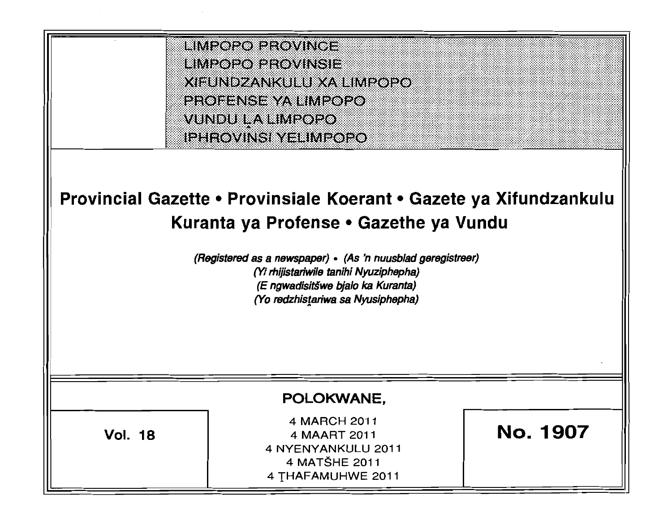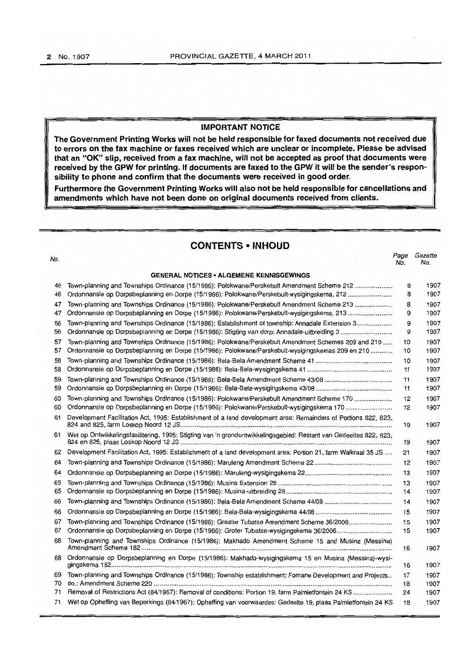# **IMPORTANT NOTICE**

**The Government Printing Works will not be held responsible for faxed documents not received due to errors on the fax machine or faxes received which are unclear or incomplete. Please be advised that an "OK" slip, received from a fax machine, will not be accepted as proof that documents were received by the GPW for printing. If documents are faxed to the GPW it will be the sender's responsibility to phone and confirm that the documents were received in good order.** 

**Furthermore the Government Printing Works will also not be held responsible for cancellations and amendments which have not been done on original documents received from clients.** 

# **CONTENTS • INHOUD**

| No. |                                                                                                                   | Page<br>No. | Gazette<br>No. |
|-----|-------------------------------------------------------------------------------------------------------------------|-------------|----------------|
|     | <b>GENERAL NOTICES • ALGEMENE KENNISGEWINGS</b>                                                                   |             |                |
| 46  | Town-planning and Townships Ordinance (15/1986): Polokwane/Perskebult Amendment Scheme 212                        | 8           | 1907           |
| 46  | Ordonnansie op Dorpsbeplanning en Dorpe (15/1986): Polokwane/Perskebult-wysigingskema, 212                        | 8           | 1907           |
| 47  | Town-planning and Townships Ordinance (15/1986): Polokwane/Perskebult Amendment Scheme 213                        | 8           | 1907           |
| 47  | Ordonnansie op Dorpsbeplanning en Dorpe (15/1986): Polokwane/Perskebult-wysigingskema, 213                        | 9           | 1907           |
| 56  | Town-planning and Townships Ordinance (15/1986): Establishment of township: Annadale Extension 3                  | 9           | 1907           |
| 56  | Ordonnansie op Dorpsbeplanning en Dorpe (15/1986): Stigting van dorp: Annadale-uitbreiding 3                      | 9           | 1907           |
| 57  | Town-planning and Townships Ordinance (15/1986): Polokwane/Perskebult Amendment Schemes 209 and 210               | 10          | 1907           |
| 57  | Ordonnansie op Dorpsbeplanning en Dorpe (15/1986): Polokwane/Perskebult-wysigingskemas 209 en 210                 | 10          | 1907           |
| 58  |                                                                                                                   | 10          | 1907           |
| 58  |                                                                                                                   | 11          | 1907           |
| 59  |                                                                                                                   | 11          | 1907           |
| 59  |                                                                                                                   | 11          | 1907           |
| 60  | Town-planning and Townships Ordinance (15/1986): Polokwane/Perskebult Amendment Scheme 170                        | 12          | 1907           |
| 60  |                                                                                                                   | 12          | 1907           |
| 61  | Development Facilitation Act, 1995: Establishment of a land development area: Remainders of Portions 822, 823,    | 19          | 1907           |
| 61  | Wet op Ontwikkelingsfasilitering, 1995: Stigting van 'n grondontwikkelingsgebied: Restant van Gedeeltes 822, 823, | 19          | 1907           |
| 62  | Development Facilitation Act, 1995: Establishment of a land development area: Portion 21, farm Walkraal 35 JS     | 21          | 1907           |
| 64  |                                                                                                                   | 12          | 1907           |
| 64  |                                                                                                                   | 13          | 1907           |
| 65  |                                                                                                                   | 13          | 1907           |
| 65  |                                                                                                                   | 14          | 1907           |
| 66  |                                                                                                                   | 14          | 1907           |
| 66  |                                                                                                                   | 15          | 1907           |
| 67  | Town-planning and Townships Ordinance (15/1986): Greater Tubatse Amendment Scheme 36/2006                         | 15          | 1907           |
| 67  |                                                                                                                   | 15          | 1907           |
| 68  | Town-planning and Townships Ordinance (15/1986): Makhado Amendment Scheme 15 and Musina (Messina)                 | 16          | 1907           |
| 68  | Ordonnansie op Dorpsbeplanning en Dorpe (15/1986): Makhado-wysigingskema 15 en Musina (Messina)-wysi-             | 16          | 1907           |
| 69  | Town-planning and Townships Ordinance (15/1986): Township establishment: Fomane Development and Projects          | 17          | 1907           |
| 70  |                                                                                                                   | 18          | 1907           |
| 71  | Removal of Restrictions Act (84/1967): Removal of conditions: Portion 19, farm Palmietfontein 24 KS               | 24          | 1907           |
| 71  | Wet op Opheffing van Beperkings (84/1967): Opheffing van voorwaardes: Gedeelte 19, plaas Palmietfontein 24 KS     | 18          | 1907           |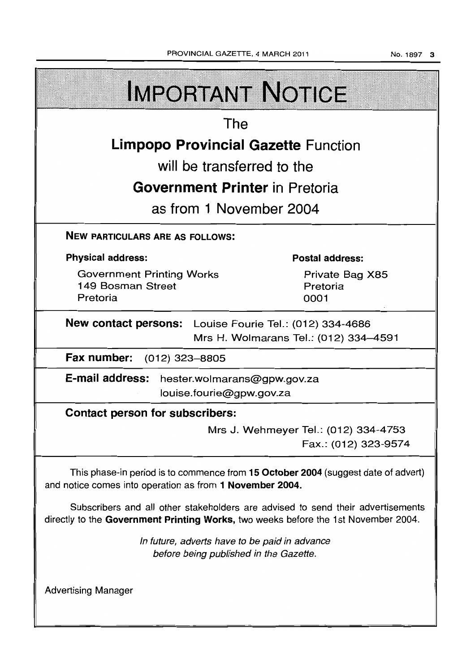|                                                                                                                                                                       | <b>IMPORTANT NOTICE</b>               |  |  |  |  |  |
|-----------------------------------------------------------------------------------------------------------------------------------------------------------------------|---------------------------------------|--|--|--|--|--|
| The                                                                                                                                                                   |                                       |  |  |  |  |  |
| <b>Limpopo Provincial Gazette Function</b>                                                                                                                            |                                       |  |  |  |  |  |
| will be transferred to the                                                                                                                                            |                                       |  |  |  |  |  |
|                                                                                                                                                                       | <b>Government Printer in Pretoria</b> |  |  |  |  |  |
| as from 1 November 2004                                                                                                                                               |                                       |  |  |  |  |  |
| <b>NEW PARTICULARS ARE AS FOLLOWS:</b>                                                                                                                                |                                       |  |  |  |  |  |
| <b>Physical address:</b>                                                                                                                                              | <b>Postal address:</b>                |  |  |  |  |  |
| <b>Government Printing Works</b><br>149 Bosman Street<br>Pretoria                                                                                                     | Private Bag X85<br>Pretoria<br>0001   |  |  |  |  |  |
| New contact persons: Louise Fourie Tel.: (012) 334-4686<br>Mrs H. Wolmarans Tel.: (012) 334–4591                                                                      |                                       |  |  |  |  |  |
| Fax number:<br>(012) 323–8805                                                                                                                                         |                                       |  |  |  |  |  |
| E-mail address:<br>hester.wolmarans@gpw.gov.za<br>louise.fourie@gpw.gov.za                                                                                            |                                       |  |  |  |  |  |
| Contact person for subscribers:                                                                                                                                       |                                       |  |  |  |  |  |
| Mrs J. Wehmeyer Tel.: (012) 334-4753<br>Fax.: (012) 323-9574                                                                                                          |                                       |  |  |  |  |  |
| This phase-in period is to commence from 15 October 2004 (suggest date of advert)<br>and notice comes into operation as from 1 November 2004.                         |                                       |  |  |  |  |  |
| Subscribers and all other stakeholders are advised to send their advertisements<br>directly to the Government Printing Works, two weeks before the 1st November 2004. |                                       |  |  |  |  |  |
| In future, adverts have to be paid in advance<br>before being published in the Gazette.                                                                               |                                       |  |  |  |  |  |
| <b>Advertising Manager</b>                                                                                                                                            |                                       |  |  |  |  |  |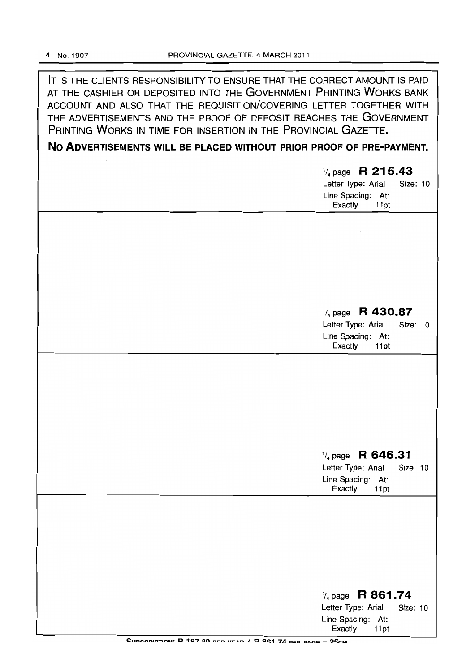**IT** IS THE CLIENTS RESPONSIBILITY TO ENSURE THAT THE CORRECT AMOUNT IS PAID AT THE CASHIER OR DEPOSITED INTO THE GOVERNMENT PRINTING WORKS BANK ACCOUNT AND ALSO THAT THE REQUISITION/COVERING LETTER TOGETHER WITH THE ADVERTISEMENTS AND THE PROOF OF DEPOSIT REACHES THE GOVERNMENT PRINTING WORKS IN TIME FOR INSERTION IN THE PROVINCIAL GAZETTE.

**No ADVERTISEMENTS WILL BE PLACED WITHOUT PRIOR PROOF OF PRE-PAYMENT.** 

1/4 page **R 215.43**  Letter Type: Arial . Size: 10 Line Spacing: At: Exactly 11pt

# 1/4 page **R 430.87**

Letter Type: Arial Size: 10 Line Spacing: At: Exactly 11 pt

# 1/4 page **R 646.31**

Letter Type: Arial Size: 10 Line Spacing: At: Exactly 11pt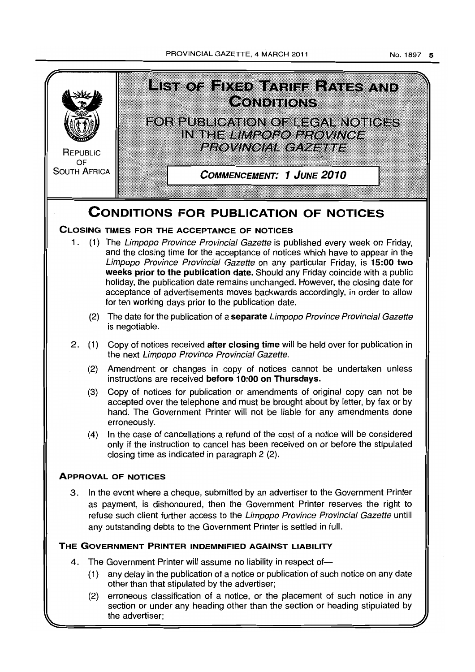PROVINCIAL GAZETTE, 4 MARCH 2011

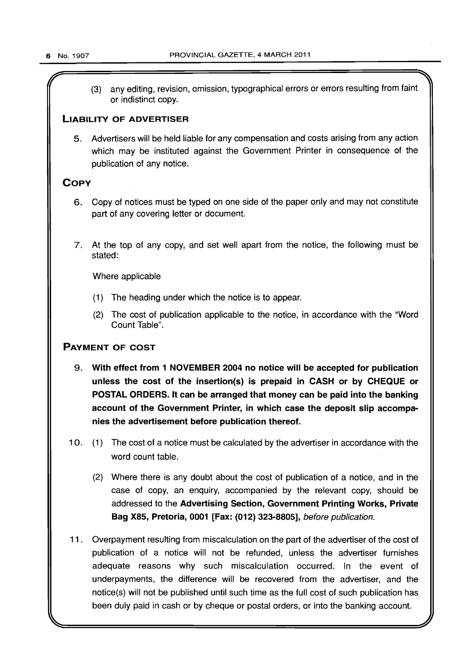(3) any editing, revision, omission, typographical errors or errors resulting from faint or indistinct copy.

# LIABILITY OF ADVERTISER

5. Advertisers will be held liable for any compensation and costs arising from any action which may be instituted against the Government Printer in consequence of the publication of any notice.

# **COPY**

- 6. Copy of notices must be typed on one side of the paper only and may not constitute part of any covering letter or document.
- 7. At the top of any copy, and set well apart from the notice, the following must be stated:

Where applicable

- (1) The heading under which the notice is to appear.
- (2) The cost of publication applicable to the notice, in accordance with the "Word Count Table".

# PAYMENT OF COST

- 9. With effect from 1 NOVEMBER 2004 no notice will be accepted for publication unless the cost of the insertion(s) is prepaid in CASH or by CHEQUE or POSTAL ORDERS. It can be arranged that money can be paid into the banking account of the Government Printer, in which case the deposit slip accompanies the advertisement before publication thereof.
- 10. (1) The cost of a notice must be calculated by the advertiser in accordance with the word count table.
	- (2) Where there is any doubt about the cost of publication of a notice, and in the case of copy, an enquiry, accompanied by the relevant copy, should be addressed to the Advertising Section, Government Printing Works, Private Bag X85, Pretoria, 0001 [Fax: (012) 323-8805], before publication.
- 11. Overpayment resulting from miscalculation on the part of the advertiser of the cost of publication of a notice will not be refunded, unless the advertiser furnishes adequate reasons why such miscalculation occurred. In the event of underpayments, the difference will be recovered from the advertiser, and the notice(s) will not be published until such time as the full cost of such publication has been duly paid in cash or by cheque or postal orders, or into the banking account.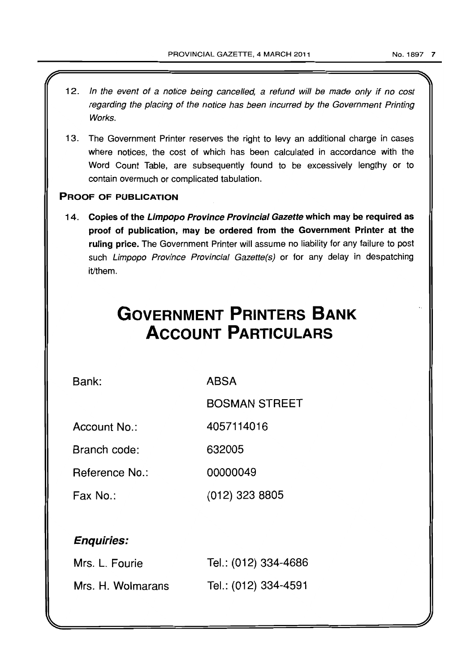- 12. In the event of a notice being cancelled, a refund will be made only if no cost regarding the placing of the notice has been incurred by the Government Printing Works.
- 13. The Government Printer reserves the right to levy an additional charge in cases where notices, the cost of which has been calculated in accordance with the Word Count Table, are subsequently found to be excessively lengthy or to contain overmuch or complicated tabulation.

# PROOF OF PUBLICATION

14. Copies of the Limpopo Province Provincial Gazette which may be required as proof of publication, may be ordered from the Government Printer at the ruling price. The Government Printer will assume no liability for any failure to post such Limpopo Province Provincial Gazette(s) or for any delay in despatching it/them.

# **GOVERNMENT PRINTERS BANK ACCOUNT PARTICULARS**

Bank:

ABSA

BOSMAN STREET

Account No.: 4057114016

Branch code: 632005

Reference No.: 00000049

Fax No.: (012) 323 8805

# Enquiries:

| Mrs. L. Fourie    | Tel.: (012) 334-4686 |
|-------------------|----------------------|
| Mrs. H. Wolmarans | Tel.: (012) 334-4591 |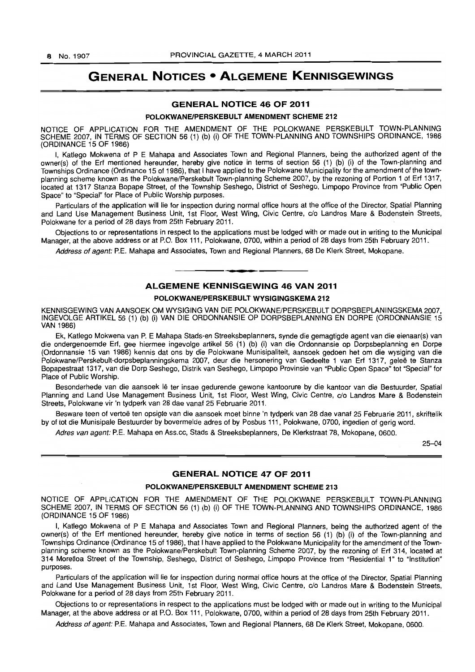# **GENERAL NOTICES • ALGEMENE KENNISGEWINGS**

# GENERAL NOTICE 46 OF 2011

#### POLOKWANEIPERSKEBULT AMENDMENT SCHEME 212

NOTICE OF APPLICATION FOR THE AMENDMENT OF THE POLOKWANE PERSKEBULT TOWN-PLANNING SCHEME 2007, IN TERMS OF SECTION 56 (1) (b) (i) OF THE TOWN-PLANNING AND TOWNSHIPS ORDINANCE, 1986 (ORDINANCE 15 OF 1986)

I, Katlego Mokwena of P E Mahapa and Associates Town and Regional Planners, being the authorized agent of the owner(s) of the Erf mentioned hereunder, hereby give notice in terms of section 56 (1) (b) (i) of the Town-planning and Townships Ordinance (Ordinance 15 of 1986), that I have applied to the Polokwane Municipality for the amendment of the townplanning scheme known as the Polokwane/Perskebult Town-planning Scheme 2007, by the rezoning of Portion 1 of Erf 1317, located at 1317 Stanza Bopape Street, of the Township Seshego, District of Seshego, Limpopo Province from "Public Open Space" to "Special" for Place of Public Worship purposes.

Particulars of the application will lie for inspection during normal office hours at the office of the Director, Spatial Planning and Land Use Management Business Unit, 1st Floor, West Wing, Civic Centre, c/o Landros Mare & Bodenstein Streets, Polokwane for a period of 28 days from 25th February 2011.

Objections to or representations in respect to the applications must be lodged with or made out in writing to the Municipal Manager, at the above address or at P.O. Box 111, Polokwane, 0700, within a period of 28 days from 25th February 2011.

Address of agent: P.E. Mahapa and Associates, Town and Regional Planners, 68 De Klerk Street, Mokopane.

# ALGEMENE KENNISGEWING 46 VAN 2011

**• •** 

#### POLOKWANE/PERSKEBULT WYSIGINGSKEMA 212

KENNISGEWING VAN AANSOEK OM WYSIGING VAN DIE POLOKWANE/PERSKEBULT DORPSBEPLANINGSKEMA 2007, INGEVOLGE ARTIKEL 56 (1) (b) (i) VAN DIE ORDONNANSIE OP DORPSBEPLANNING EN DORPE (ORDONNANSIE 15 VAN 1986)

Ek, Katlego Mokwena van P. E Mahapa Stads-en Streeksbeplanners, synde die gemagtigde agent van die eienaar(s) van die ondergenoemde Erf, gee hiermee ingevolge artikel 56 (1) (b) (i) van die Ordonnansie op Dorpsbeplanning en Dorpe (Ordonnansie15 van 1986) kennis dat ons by die Polokwane Munisipaliteit, aansoek gedoen het om die wysiging van die Polokwane/Perskebult-dorpsbeplanningskema 2007, deur die hersonering van Gedeelte 1 van Erf 1317, geleë te Stanza Bopapestraat 1317, van die Dorp Seshego, Distrik van Seshego, Limpopo Provinsie van "Public Open Space" tot "Special" for Place 01 Public Worship.

Besonderhede van die aansoek lê ter insae gedurende gewone kantoorure by die kantoor van die Bestuurder, Spatial Planning and Land Use Management Business Unit, 1st Floor, West Wing, Civic Centre, c/o Landros Mare & Bodenstein Streets, Polokwane vir 'n tydperk van 28 dae vanaf 25 Februarie 2011.

Besware teen of vertoë ten opsigte van die aansoek moet binne 'n tydperk van 28 dae vanaf 25 Februarie 2011, skriftelik by of tot die Munisipale Bestuurder by bovermelde adres of by Posbus 111, Polokwane, 0700, ingedien of gerig word.

Adres van agent: P.E. Mahapa en Ass.cc, Stads & Streeksbeplanners, De Klerkstraat 78, Mokopane, 0600.

25-04

# GENERAL NOTICE 47 OF 2011

#### POLOKWANEIPERSKEBULT AMENDMENT SCHEME 213

NOTICE OF APPLICATION FOR THE AMENDMENT OF THE POLOKWANE PERSKEBULT TOWN-PLANNING SCHEME 2007, IN TERMS OF SECTION 56 (1) (b) (i) OF THE TOWN-PLANNING AND TOWNSHIPS ORDINANCE, 1986 (ORDINANCE 15 OF 1986)

I, Katlego Mokwena of P E Mahapa and Associates Town and Regional Planners, being the authorized agent of the owner(s) of the Erf mentioned hereunder, hereby give notice in terms of section 56 (1) (b) (i) of the Town-planning and Townships Ordinance (Ordinance 15 of 1986), that I have applied to the Polokwane Municipality for the amendment of the Townplanning scheme known as the Polokwane/Perskebult Town-planning Scheme 2007, by the rezoning of Ert 314, located at 314 Moretloa Street of the Township, Seshego, District of Seshego, limpopo Province from "Residential 1" to "Institution" purposes.

Particulars of the application will lie for inspection during normal office hours at the office of the Director, Spatia! Planning and Land Use Management Business Unit, 1st Floor, West Wing, Civic Centre, c/o Landros Mare & Bodenstein Streets, Polokwane for a period of 28 days from 25th February 2011.

Objections to or representations in respect to the applications must be lodged with or made out in writing to the Municipal Manager, at the above address or at P.O. Box 111, Polokwane, 0700, within a period of 28 days from 25th February 2011.

Address of agent: P.E. Mahapa and Associates, Town and Regional Planners, 68 De Klerk Street, Mokopane, 0600.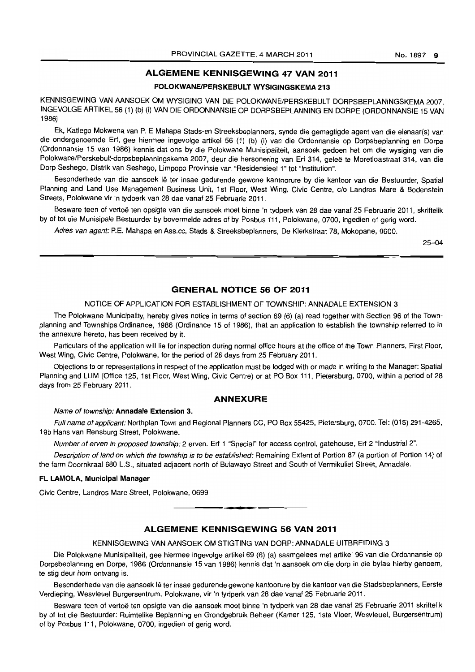# ALGEMENE KENNISGEWING 47 VAN 2011

# POLOKWANE/PERSKEBULT WYSIGINGSKEMA 213

KENNISGEWING VAN AANSOEK OM WYSIGING VAN DIE POLOKWANE/PERSKEBLILT DORPSBEPLANINGSKEMA 2007 INGEVOLGE ARTIKEL 56 (1) (b) (i) VAN DIE ORDONNANSIE OP DORPSBEPLANNING EN DORPE (ORDONNANSIE 15 VAN 1986)

Ek, Katlego Mokwena van P. E Mahapa Stads-en Streeksbeplanners, synde die gemagtigde agent van die eienaar(s) van die ondergenoemde Erf, gee hiermee ingevolge artikel 56 (1) (b) (i) van die Ordonnansie op Dorpsbeplanning en Dorpe (Ordonnansie 15 van 1986) kennis dat ons by die Polokwane Munisipaliteit, aansoek gedoen het am die wysiging van die Polokwane/Perskebult-dorpsbeplanningskema 2007, deur die hersonering van Erf 314, geleë te Moretloastraat 314, van die Dorp Seshego, Distrik van Seshego, Limpopo Provinsie van "Residensieel 1" tot "Institution".

Besonderhede van die aansoek lê ter insae gedurende gewone kantoorure by die kantoor van die Bestuurder, Spatial Planning and Land Use Management Business Unit, 1st Floor, West Wing, Civic Centre, c/o Landros Mare & Bodenstein Streets. Polokwane vir 'n tydperk van 28 dae vanaf 25 Februarie 2011.

Besware teen of vertoe ten opsigte *van* die aansoek moet binne 'n tydperk van 28 dae vanaf 25 Februarie 2011, skriftelik by of tot die Munisipale Bestuurder by bovermelde adres of by Posbus 111, Polokwane. 0700, ingedien of gerig word.

Adres van agent: P.E. Mahapa en Ass.cc. Stads & Streeksbeplanners. De Klerkstraat 78. Mokopane, 0600.

25-04

#### GENERAL NOTICE 56 OF 2011

#### NOTICE OF APPLICATION FOR ESTABLISHMENT OF TOWNSHIP: ANNADALE EXTENSION 3

The Polokwane Municipality, hereby gives notice in terms of section 69 (6) (a) read together with Section 96 of the Townplanning and Townships Ordinance. 1986 (Ordinance 15 of 1986). that an application to establish the township referred to in the annexure hereto, has been received by it.

Particulars of the application will lie for inspection during normal office hours at the office of the Town Planners, First Floor, West Wing, Civic Centre, Polokwane, for the period of 28 days from 25 February 2011.

Objections to or representations in respect of the application must be lodged with or made in writing to the Manager: Spatial Planning and LUM (Office 125, 1st Floor, West Wing, Civic Centre) or at PO Box 111, Pietersburg. 0700, within a period of 28 days from 25 February 2011.

#### ANNEXURE

#### Name of township: Annadale Extension 3.

Full name of applicant: Northplan Town and Regional Planners CC, PO Box 55425, Pietersburg, 0700. Tel: (015) 291-4265, 19b Hans van Rensburg Street, Polokwane.

Number of erven in proposed township: 2 erven. Erf 1 "Special" for access control, gatehouse, Erf 2 "Industrial 2".

Description of land on which the township is to be established: Remaining Extent of Portion 87 (a portion of Portion 14) of the farm Doornkraal 680 L.S., situated adjacent north of Bulawayo Street and South of Vermikuliet Street. Annadale.

#### FL LAMOLA, Municipal Manager

Civic Centre, Landros Mare Street, Polokwane, 0699

# ALGEMENE KENNISGEWING 56 VAN 2011

**. -**

#### KENNISGEWING VAN AANSOEK OM STIGTING VAN DORP: ANNADALE UITBREIDING 3

Die Polokwane Munisipaliteit, gee hiermee ingevolge artikel 69 (6) (a) saamgelees met artikel 96 van die Ordonnansie op Dorpsbeplanning en Dorpe, 1986 (Ordonnansie 15 van 1986) kennis dat 'n aansoek om die dorp in die bylae hierby genoem, te stig deur hom ontvang is.

Besonderhede van die aansoek Ie ter insae gedurende gewone kantoorure by die kantoor *van* die Stadsbeplanners, Eerste Verdieping, Wesvleuel Burgersentrum, Polokwane, vir 'n tydperk *van* 28 dae vanaf 25 Februarie 2011.

Besware teen of vertoë ten opsigte van die aansoek moet binne 'n tydperk van 28 dae vanaf 25 Februarie 2011 skriftelik by of tot die Bestuurder: Ruimtelike Beplanning en Grondgebruik Beheer (Kamer 125. 1 ste Vloer, Wesvleuel, Burgersentrum) of by Posbus 111, Polokwane, 0700, ingedien of gerig word.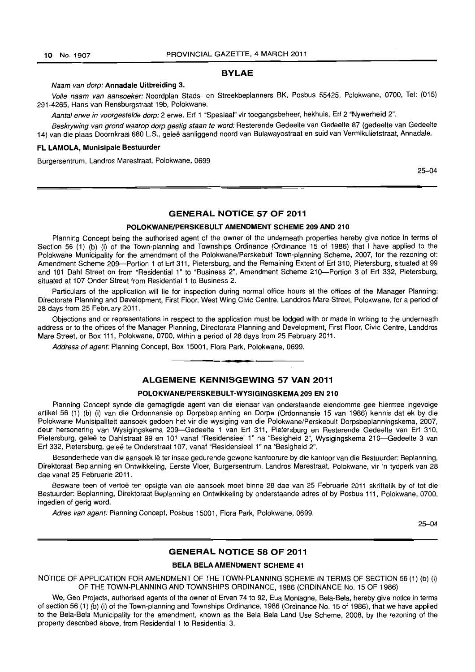#### BYLAE

#### Naam van dorp: Annadale Uitbreiding 3.

Volle naam van aansoeker: Noordplan Stads- en Streekbeplanners BK, Posbus 55425, Polokwane, 0700, Tel: (015) 291-4265, Hans van Rensburgstraat 19b, Polokwane.

Aantal erwe in voorgestelde dorp: 2 erwe. Erf 1 "Spesiaal" vir toegangsbeheer, hekhuis, Erf 2 "Nywerheid 2".

Beskrywing van grond waarop dorp gestig staan te word: Resterende Gedeelte van Gedeelte 87 (gedeelte van Gedeelte 14) van die plaas Doornkraal 680 L.S., gelee aanliggend noord van Bulawayostraat en suid van Vermikulietstraat, Annadale.

#### FL LAMOLA, Munisipale Bestuurder

Burgersentrum, Landros Marestraat, Polokwane, 0699

25-04

# GENERAL NOTICE 57 OF 2011

#### POLOKWANEIPERSKEBULT AMENDMENT SCHEME 209 AND 210

Planning Concept being the authorised agent of the owner of the underneath properties hereby give notice in terms of Section 56 (1) (b) (i) of the Town-planning and Townships Ordinance (Ordinance 15 of 1986) that I have applied to the Polokwane Municipality for the amendment of the Polokwane/Perskebult Town-planning Scheme, 2007, for the rezoning of: Amendment Scheme 209-Portion 1 of Erf 311, Pietersburg, and the Remaining Extent of Erf 310, Pietersburg, situated at 99 and 101 Dahl Street on from "Residential 1" to "Business 2", Amendment Scheme 210-Portion 3 of Erf 332, Pietersburg, situated at 107 Onder Street from Residential 1 to Business 2.

Particulars of the application will lie for inspection during normal office hours at the offices of the Manager Planning: Directorate Planning and Development, First Floor, West Wing Civic Centre, Landdros Mare Street, Polokwane, for a period of 28 days from 25 February 2011.

Objections and or representations in respect to the application must be lodged with or made in writing to the underneath address or to the offices of the Manager Planning, Directorate Planning and Development, First Floor, Civic Centre, Landdros Mare Street, or Box 111, Polokwane, 0700, within a period of 28 days from 25 February 2011.

Address of agent: Planning Concept, Box 15001, Flora Park, Polokwane, 0699.

## ALGEMENE KENNISGEWING 57 VAN 2011

**•** 

#### POLOKWANEIPERSKEBULT-WYSIGINGSKEMA 209 EN 210

Planning Concept synde die gemagtigde agent van die eienaar van onderstaande eiendomme gee hiermee ingevolge artikel 56 (1) (b) (i) van die Ordonnansie op Dorpsbeplanning en Dorpe (Ordonnansie 15 van 1986) kennis dat ek by die Polokwane Munisipaliteit aansoek gedoen het vir die wysiging van die Polokwane/Perskebult Dorpsbeplanningskema, 2007, deur hersonering van Wysigingskema 209-Gedeelte 1 van Erf 311, Pietersburg en Resterende Gedeelte van Erf 310, Pietersburg, geleë te Dahlstraat 99 en 101 vanaf "Residensieel 1" na "Besigheid 2", Wysigingskema 210-Gedeelte 3 van Erf 332, Pietersburg, gelee te Onderstraat 107, vanaf "Residensieel 1 *n* na "Besigheid 2".

Besonderhede van die aansoek lê ter insae gedurende gewone kantoorure by die kantoor van die Bestuurder: Beplanning, Direktoraat Beplanning en Ontwikkeling, Eerste Vloer, Burgersentrum, Landros Marestraat, Polokwane, vir 'n tydperk van 28 dae vanaf 25 Februarie 2011.

Besware teen of vertoë ten opsigte van die aansoek moet binne 28 dae van 25 Februarie 2011 skriftelik by of tot die Bestuurder: Beplanning, Direktoraat Beplanning en Ontwikkeling by onderstaande adres of by Posbus 111, Polokwane, 0700, ingedien of gerig word.

Adres van agent: Planning Concept, Posbus 15001, Flora Park, Polokwane, 0699.

25-04

#### GENERAL NOTICE 58 OF 2011

# BELA BELA AMENDMENT SCHEME 41

NOTICE OF APPLICATION FOR AMENDMENT OF THE TOWN-PLANNING SCHEME IN TERMS OF SECTION 56 (1) (b) (i) OF THE TOWN-PLANNING AND TOWNSHIPS ORDINANCE, 1986 (ORDINANCE No. 15 OF 1986)

We, Geo Projects, authorised agents of the owner of Erven 74 to 92, Eua Montagne, Bela-Bela, hereby give notice in terms of section 56 (1) (b) (i) of the Town-planning and Townships Ordinance, 1986 (Ordinance No. 15 of 1986), that we have applied to the Bela-Bela Municipality for the amendment, known as the Bela Bela Land Use Scheme, 2008, by the rezoning of the property described above, from Residential 1 to Residential 3.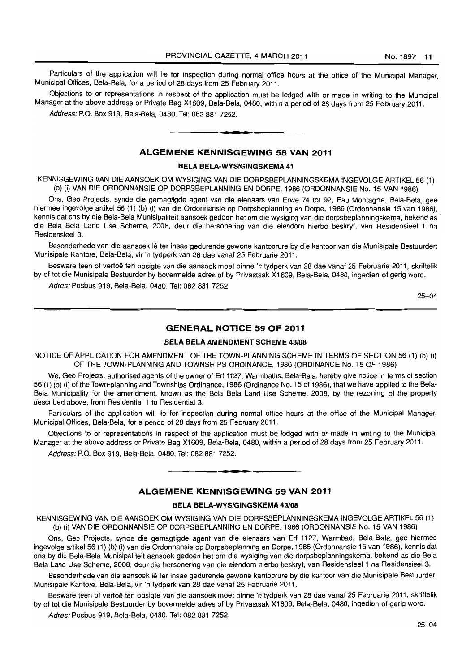Particulars of the application will lie for inspection during normal office hours at the office of the Municipal Manager, Municipal Offices, Bela-Bela, for a period of 28 days from 25 February 2011.

Objections to or representations in respect of the application must be lodged with or made in writing to the Municipal Manager at the above address or Private Bag X1609, Bela-Bela, 0480, within a period of 28 days from 25 February 2011. Address: P.O. Box 919, Bela-Bela, 0480. Tel: 082 881 7252.

# ALGEMENE KENNISGEWING 58 VAN 2011

**• •** 

#### BELA BELA-WYSIGINGSKEMA 41

KENNISGEWING VAN DIE AANSOEK OM WYSIGING VAN DIE DORPSBEPLANNINGSKEMA INGEVOLGE ARTIKEL 56 (1) (b) (i) VAN DIE ORDONNANSIE OP DORPSBEPLANNING EN DORPE, 1986 (ORDONNANSIE No. 15 VAN 1986)

Ons, Geo Projects, synde die gemagtigde agent van die eienaars van Erwe 74 tot 92, Eau Montagne, Bela-Beta, gee hiermee ingevotge artikel 56 (1) (b) (i) van die Ordonnansie op Dorpsbeplanning en Dorpe, 1986 (Ordonnansie 15 van 1986), kennis dat ons by die Bela-Bela Munisipaliteit aansoek gedoen het om die wysiging van die dorpsbeplanningskema, bekend as die Bela Bela Land Use Scheme, 2008, deur die hersonering van die eiendom hierbo beskryf, van Residensieel 1 na Residensieel 3.

Besonderhede van die aansoek lê ter insae gedurende gewone kantoorure by die kantoor van die Munisipale Bestuurder: Munisipale Kantore, Bela-Bela, vir 'n tydperk van 28 dae vanaf 25 Februarie 2011.

Besware teen of vertoë ten opsigte van die aansoek moet binne 'n tydperk van 28 dae vanaf 25 Februarie 2011, skriftelik by of tot die Munisipale Bestuurder by bovermelde adres of by Privaatsak X1609, Bela-Bela, 0480, ingedien of gerig word.

Adres: Posbus 919, Bela-Bela, 0480. Tel: 082 881 7252.

25-04

# GENERAL NOTICE 59 OF 2011

#### BELA BELA AMENDMENT SCHEME *43/08*

NOTICE OF APPLICATION FOR AMENDMENT OF THE TOWN-PLANNING SCHEME IN TERMS OF SECTION 56 (1) (b) (i) OF THE TOWN-PLANNING AND TOWNSHIPS ORDINANCE, 1986 (ORDINANCE No. 15 OF 1986)

We, Geo Projects, authorised agents of the owner of Erf 1127, Warmbaths, Bela-Bela, hereby give notice in terms of section 56 (1) (b) (i) of the Town-planning and Townships Ordinance, 1986 (Ordinance No. 15 of 1986), that we have applied to the Bela-Bela Municipality for the amendment, known as the Bela Bela Land Use Scheme, 2008, by the rezoning of the property described above, from Residential 1 to Residential 3.

Particulars of the application will lie for inspection during normal office hours at the office of the Municipal Manager, Municipal Offices, Bela-Bela, for a period of 28 days from 25 February 2011.

Objections to or representations in respect of the application must be lodged with or made in writing to the Municipal Manager at the above address or Private Bag X1609, Bela-Bela, 0480, within a period of 28 days from 25 February 2011.

Address: P.O. Box 919, Bela-Bela, 0480. Tel: 082 881 7252.

#### ALGEMENE KENNISGEWING 59 VAN 2011

**1\_.** 

#### BELA BELA-WYSIGINGSKEMA 43108

KENNISGEWING VAN DIE AANSOEK OM WYSIGING VAN DIE DORPSBEPLANNINGSKEMA INGEVOLGE ARTIKEL 56 (1) (b) (i) VAN DIE ORDONNANSIE OP DORPSBEPLANNING EN DORPE, 1986 (ORDONNANSIE No. 15 VAN 1986)

Ons, Geo Projects, synde die gemagtigde agent van die eienaars van Erf 1127, Warmbad, Bela-Bela, gee hiermee ingevolge artikel56 (1) (b) (i) van die Ordonnansie op Dorpsbeplanning en Dorpe, 1986 (Ordonnansie 15 van 1986), kennis dat ons by die Bela-Bela Munisipaliteit aansoek gedoen het om die wysiging van die dorpsbeplanningskema, bekend as die Bela Bela Land Use Scheme, 2008, deur die hersonering van die eiendom hierbo beskryf, van Residensieel 1 na Residensieel 3.

Besonderhede van die aansoek lê ter insae gedurende gewone kantoorure by die kantoor van die Munisipale Bestuurder: Munisipale Kantore, Bela-Bela, vir 'n tydperk van 28 dae vanaf 25 Februarie 2011.

Besware teen of vertoë ten opsigte van die aansoek moet binne 'n tydperk van 28 dae vanaf 25 Februarie 2011, skriftelik by of tot die Munisipale Bestuurder by bovermelde adres of by Privaatsak X1609, Bela-Bela, 0480, ingedien of gerig word.

Adres: Posbus 919, Bela-Bela, 0480. Tel: 082 881 7252.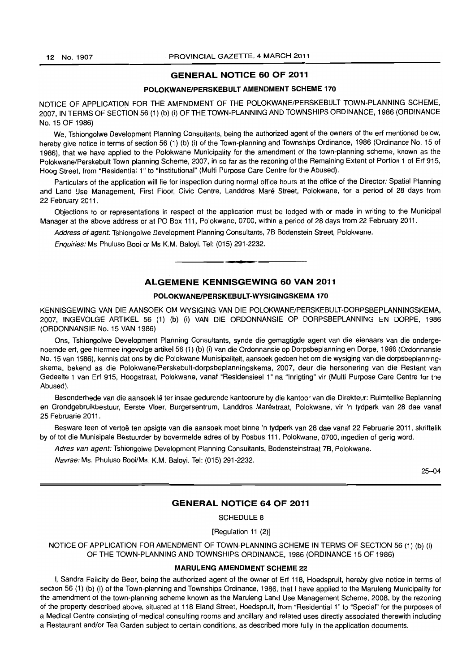# **GENERAL NOTICE 60 OF 2011**

#### **POLOKWANEIPERSKEBULT AMENDMENT SCHEME 170**

NOTICE OF APPLICATION FOR THE AMENDMENT OF THE POLOKWANE/PERSKEBULT TOWN-PLANNING SCHEME, 2007, IN TERMS OF SECTION 56 (1) (b) (i) OF THE TOWN-PLANNING AND TOWNSHIPS ORDINANCE, 1986 (ORDINANCE No. 15 OF 1986)

We, Tshiongolwe Development Planning Consultants, being the authorized agent of the owners of the erf mentioned below, hereby give notice in terms of section 56 (1) (b) (i) of the Town-planning and Townships Ordinance, 1986 (Ordinance No. 15 of 1986), that we have applied to the Polokwane Municipality for the amendment of the town-planning scheme, known as the Polokwane/Perskebult Town-planning Scheme, 2007, in so far as the rezoning of the Remaining Extent of Portion 1 of Erf 915, Hoog Street, from "Residential 1" to "Institutional" (Multi Purpose Care Centre for the Abused).

Particulars of the application will lie for inspection during normal office hours at the office of the Director: Spatial Planning and Land Use Management, First Floor, Civic Centre, Landdros Mare Street, Polokwane, for a period of 28 days from 22 February 2011.

Objections to or representations in respect of the application must be lodged with or made in writing to the Municipal Manager at the above address or at PO Box 111, Polokwane, 0700, within a period of 28 days from 22 February 2011.

Address of agent: Tshiongolwe Development Planning Consultants, 7B Bodenstein Street, Polokwane.

Enquiries: Ms Phuluso Booi or Ms K.M. Baloyi. Tel: (015) 291-2232. **-.** 

#### **ALGEMENE KENNISGEWING 60 VAN 2011**

#### **POLOKWANEIPERSKEBULT-WVSIGINGSKEMA 170**

KENNISGEWING VAN DIE AANSOEK OM WYSIGING VAN DIE POLOKWANE/PERSKEBULT-DORPSBEPLANNINGSKEMA. 2007, INGEVOLGE ARTIKEL 56 (1) (b) (i) VAN DIE ORDONNANSIE OP DORPSBEPLANNING EN DORPE, 1986 (ORDONNANSIE No. 15 VAN 1986)

Ons, Tshiongolwe Development Planning Consultants, synde die gemagtigde agent van die eienaars van die ondergenoemde erf, gee hiermee ingevolge artikel 56 (1) (b) (i) van die Ordonnansie op Dorpsbeplanning en Dorpe, 1986 (Ordonnansie No. 15 van 1986), kennis dat ons by die Polokwane Munisipaliteit, aansoek gedoen het om die wysiging van die dorpsbeplanningskema, bekend as die Polokwane/Perskebult-dorpsbeplanningskema, 2007, deur die hersonering van die Restant van Gedeelte 1 van Ert 915, Hoogstraat, Polokwane, vanaf "Residensieel 1" na "Inrigting" vir (Multi Purpose Care Centre for the Abused).

Besonderhede van die aansoek lê ter insae gedurende kantoorure by die kantoor van die Direkteur: Ruimtelike Beplanning en Grondgebruikbestuur, Eerste Vloer, Burgersentrum, Landdros Marestraat, Polokwane, vir 'n tydperk van 28 dae vanaf 25 Februarie 2011.

Besware teen of vertoë ten opsigte van die aansoek moet binne 'n tydperk van 28 dae vanaf 22 Februarie 2011, skriftelik by of tot die Munisipale Bestuurder by bovermelde adres of by Posbus 111, Polokwane, 0700, ingedien of gerig word.

Adres van agent: Tshiongolwe Development Planning Consultants, Bodensteinstraat 7B, Polokwane.

Navrae: Ms. Phuluso Booi/Ms. K.M. Baloyi. Tel: (015) 291-2232.

25-04

# **GENERAL NOTICE 64 OF 2011**

SCHEDULE 8

[Regulation 11 (2)]

NOTICE OF APPLICATION FOR AMENDMENT OF TOWN-PLANNING SCHEME IN TERMS OF SECTION 56 (1) (b) (i) OF THE TOWN-PLANNING AND TOWNSHIPS ORDINANCE, 1986 (ORDINANCE 15 OF 1986)

#### **MARULENG AMENDMENT SCHEME** 22

I, Sandra Felicity de Beer, being the authorized agent of the owner of Ert 118, Hoedspruit, hereby give notice in terms of section 56 (1) (b) (i) of the Town-planning and Townships Ordinance, 1986, that I have applied to the Maruleng Municipality for the amendment of the town-planning scheme known as the Maruleng Land Use Management Scheme, 2008, by the rezoning of the property described above, situated at 118 Eland Street, Hoedspruit, from "Residential 1" to "Special" for the purposes of a Medical Centre consisting of medical consulting rooms and ancillary and related uses directly associated therewith including a Restaurant and/or Tea Garden subject to certain conditions, as described more fully in the application documents.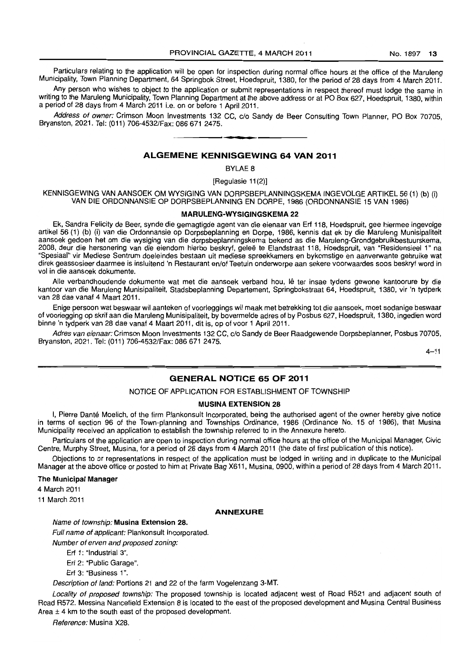Particulars relating to the application will be open for inspection during normal office hours at the office of the Maruleng Municipality, Town Planning Department, 64 Springbok Street, Hoedspruit, 1380, for the period of 28 days from 4 March 2011.

Any person who wishes to object to the application or submit representations in respect thereof must lodge the same in writing to the Maruleng Municipality, Town Planning Department at the above address or at PO Box 627, Hoedspruit, 1380, within a period of 28 days from 4 March 2011 i.e. on or before 1 April 2011.

Address of owner: Crimson Moon Investments 132 CC, c/o Sandy de Beer Consulting Town Planner, PO Box 70705, Bryanston, 2021. Tel: (011) 706-4532/Fax: 086 671 2475. . **- .** 

# **ALGEMENE KENNISGEWING 64 VAN 2011**

BYLAE 8

[Regulasie 11 (2)]

KENNISGEWING VAN AANSOEK OM WYSIGING VAN DORPSBEPLANNINGSKEMA INGEVOLGE ARTIKEL 56 (1) (b) (i) VAN DIE ORDONNANSIE OP DORPSBEPLANNING EN DORPE, 1986 (ORDONNANSIE 15 VAN 1986)

#### **MARULENG-WYSIGINGSKEMA 22**

Ek, Sandra Felicity de Beer, synde die gemagtigde agent van die eienaar van Erf 118. Hoedspruit, gee hiermee ingevolge artikel 56 (1) (b) (i) van die Ordonnansie op Dorpsbeplanning en Dorpe, 1986. kennis dat ek by die Maruleng Munisipaliteit aansoek gedoen het om die wysiging van die dorpsbeplanningskema bekend as die Maruleng-Grondgebruikbestuurskema, 2008. deur die hersonering van die eiendom hierbo beskryf, gelee te Elandstraat 118, Hoedspruit, van "Residensieel 1" na "Spesiaal" vir Mediese Sentrum doeleindes bestaan uit mediese spreekkamers en bykomstige en aanverwante gebruike wat direk geassosieer daarmee is insluitend 'n Restaurant en/of Teetuin onderworpe aan sekere voorwaardes soos beskryf word in vol in die aansoek dokumente.

Aile verbandhoudende dokumente wat met die aansoek verband hou, Ie ter insae tydens gewone kantoorure by die kantoor van die Maruleng Munisipaliteit, Stadsbeplanning Departement. Springbokstraat 64, Hoedspruit, 1380, vir 'n tydperk van 28 dae vanaf 4 Maart 2011.

Enige persoon wat beswaar wil aanteken of voorleggings wil maak met betrekking tot die aansoek. moet sodanige beswaar of voorlegging op skrif aan die Maruleng Munisipaliteit, by bovermelde adres of by Posbus 627, Hoedspruit, 1380, ingedien word binne 'n tydperk van 28 dae vanaf 4 Maart 2011, dit is, op of voor 1 April 2011.

Adres van eienaar: Crimson Moon Investments 132 CC, c/o Sandy de Beer Raadgewende Dorpsbeplanner, Posbus 70705, Bryanston, 2021. Tel: (011) 706-4532/Fax: 086671 2475.

 $4 - 11$ 

#### **GENERAL NOTICE 65 OF 2011**

#### NOTICE OF APPLICATION FOR ESTABLISHMENT OF TOWNSHIP

#### **MUSINA EXTENSION 28**

I, Pierre Danté Moelich, of the firm Plankonsult Incorporated, being the authorised agent of the owner hereby give notice in terms of section 96 of the Town-planning and Townships Ordinance, 1986 (Ordinance No. 15 of 1986), that Musina Municipality received an application to establish the township referred to in the Annexure hereto.

Particulars of the application are open to inspection during normal office hours at the office of the Municipal Manager, Civic Centre, Murphy Street, Musina, for a period of 28 days from 4 March 2011 (the date of first publication of this notice).

Objections to or representations in respect of the application must be lodged in writing and in duplicate to the Municipal Manager at the above office or posted to him at Private Bag X611, Musina, 0900. within a period of 28 days from 4 March 2011.

#### The **Municipal Manager**

4 March 2011

11 March 2011

#### **ANNEXURE**

#### Name of township: **Musina Extension** 28.

Full name of applicant: Plankonsult Incorporated.

Number of erven and proposed zoning:

Erf 1: "Industrial 3".

Erf 2: "Public Garage".

Erf 3: "Business 1".

Description of land: Portions 21 and 22 of the farm Vogelenzang 3-MT.

Locality of proposed township: The proposed township is located adjacent west of Road R521 and adjacent south of Road R572. Messina Nancefield Extension 8 is located to the east of the proposed development and Musina Central Business Area  $\pm$  4 km to the south east of the proposed development.

Reference: Musina X28.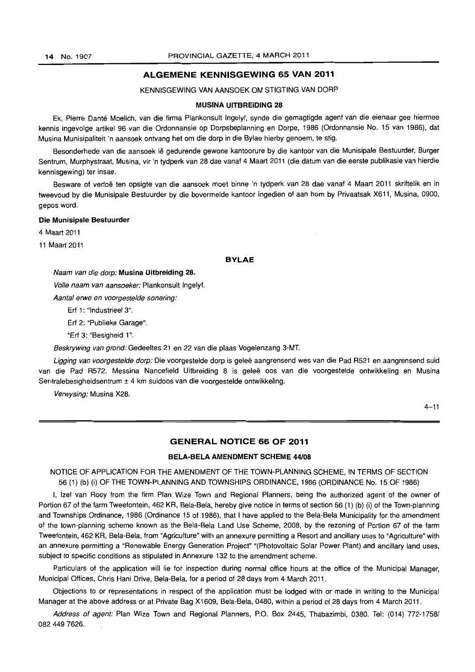## **ALGEMENE KENNISGEWING 65 VAN 2011**

#### KENNISGEWING VAN AANSOEK OM STIGTING VAN DORP

#### **MUSINA UITBREIDING 28**

Ek, Pierre Dante Moelich, van die firma Plankonsult Ingelyf, synde die gemagtigde agent van die eienaar gee hiermee kennis ingevolge artikel 96 van die Ordonnansie op Dorpsbeplanning en Dorpe, 1986 (Ordonnansie No. 15 van 1986), dat Musina Munisipaliteit 'n aansoek ontvang het om die dorp in die Bylae hierby genoem, te stig.

Besonderhede van die aansoek lê gedurende gewone kantoorure by die kantoor van die Munisipale Bestuurder, Burger Sentrum, Murphystraat, Musina, vir 'n tydperk van 28 dae vanaf 4 Maart 2011 (die datum van die eerste publikasie van hierdie kennisgewing) ter insae.

Besware of vertoë ten opsigte van die aansoek moet binne 'n tydperk van 28 dae vanaf 4 Maart 2011 skriftelik en in tweevoud by die Munisipale Bestuurder by die bovermelde kantoor ingedien of aan hom by Privaatsak X611, Mustna, 0900, gepos word.

#### **Die Munisipale Bestuurder**

4 Maart 2011

11 Maart 2011

#### **BYLAE**

Naam van die dorp: **Musina Uitbreiding** 28.

Volle naam van aansoeker: Plankonsult Ingelyf.

Aantal erwe en voorgestelde sonering:

Erf 1: "Industrieel 3".

Erf 2: "Publieke Garage".

"Erf 3: "Besigheid 1".

8eskrywing van grond: Gedeeltes 21 en 22 van die plaas Vogelenzang 3-MT.

Ligging van voorgestelde dorp: Die voorgestelde dorp is geleë aangrensend wes van die Pad R521 en aangrensend suid van die Pad R572. Messina Nancefield Uitbreiding 8 is geleë oos van die voorgestelde ontwikkeling en Musina Sentralebesigheidsentrum ± 4 km suidoos van die voorgestelde ontwikkeling.

Verwysing: Musina X28.

 $4 - 11$ 

#### **GENERAL NOTICE 66 OF 2011**

#### **BELA-BELA AMENDMENT SCHEME 44/08**

NOTICE OF APPLICATION FOR THE AMENDMENT OF THE TOWN-PLANNING SCHEME, IN TERMS OF SECTION 56 (1) (b) (i) OF THE TOWN-PLANNING AND TOWNSHIPS ORDINANCE, 1986 (ORDINANCE No. 15 OF 1986)

I, Izel van Rooy from the firm Plan Wize Town and Regional Planners, being the authorized agent of the owner of Portion 67 of the farm Tweefontein, 462 KR, Bela-Bela, hereby give notice in terms of section 56 (1) (b) (i) of the Town-planning and Townships Ordinance, 1986 (Ordinance 15 of 1986), that I have applied to the Bela-Bela Municipality for the amendment of the town-planning scheme known as the Bela-Bela Land Use Scheme, 2008, by the rezoning of Portion 67 of the farm Tweefontein, 462 KR, Bela-Bela, from "Agriculture" with an annexure permitting a Resort and ancillary uses to "Agriculture" with an annexure permitting a "Renewable Energy Generation Project" "(Photovoltaic Solar Power Plant) and ancillary land uses, subject to specific conditions as stipulated in Annexure 132 to the amendment scheme.

Particulars of the application will lie for inspection during normal office hours at the office of the Municipal Manager, Municipal Offices, Chris Hani Drive, Bela-Bela, for a period of 28 days from 4 March 2011.

Objections to or representations in respect of the application must be lodged with or made in writing to the Municipal Manager at the above address or at Private Bag X1609, Bela-Bela, 0480, within a period of 28 days from 4 March 2011.

Address of agent: Plan Wize Town and Regional Planners, P.O. Box 2445, Thabazimbi, 0380. Tel: (014) 772-1758/ 082 449 7626.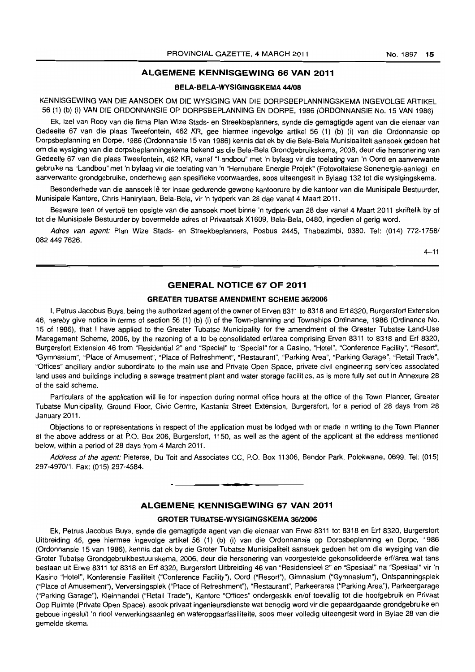# **ALGEMENE KENNISGEWING 66 VAN 2011**

#### **BELA·BELA·WYSIGINGSKEMA 44/08**

KENNISGEWING VAN DIE AANSOEK OM DIE WYSIGING VAN DIE DORPSBEPLANNINGSKEMA INGEVOLGE ARTIKEL 56 (1) (b) (i) VAN DIE ORDONNANSIE OP DORPSBEPLANNINGEN DORPE, 1986 (ORDONNANSIE No. 15 VAN 1986)

Ek, Izel van Rooy van die firma Plan Wize Stads- en Streekbeplanners, synde die gemagtigde agent van die eienaar van Gedeelte 67 van die plaas Tweefontein, 462 KR, gee hiermee ingevolge artikel 56 (1) (b) (i) van die Ordonnansie op Dorpsbeplanning en Dorpe, 1986 (Ordonnansie 15 van 1986) kennis dat ek by die Bela-Bela Munisipaliteit aansoek gedoen het om die wysiging van die dorpsbeplanningskema bekend as die Bela-Bela Grondgebruikskema, 2008, deur die hersonering van Gedeelte 67 van die plaas Tweefontein, 462 KR, vanaf "Landbou" met 'n bylaag vir die toelating van 'n Oord en aanverwante gebruike na "Landbou" met 'n bylaag vir die toelating van 'n "Hernubare Energie Projek" (Fotovoltaiese Sonenergie-aanleg) en aanverwante grondgebruike, onderhewig aan spesifieke voorwaardes, soos uiteengesit in Bylaag 132 tot die wysigingskema.

Besonderhede van die aansoek lê ter insae gedurende gewone kantoorure by die kantoor van die Munisipale Bestuurder, Munisipale Kantore, Chris Hanirylaan, Bela-Bela, vir 'n tydperk van 28 dae vanaf 4 Maart 2011.

Besware teen of vertoë ten opsigte van die aansoek moet binne 'n tydperk van 28 dae vanaf 4 Maart 2011 skriftelik by of tot die Munisipale Bestuurder by bovermelde adres of Privaatsak X1609, Bela-Bela, 0480, ingedien of gerig word.

Adres van agent: Plan Wize Stads- en Streekbeplanners, Posbus 2445, Thabazimbi, 0380. Tel: (014) 772-1758/ 082 449 7626.

 $4 - 11$ 

### **GENERAL NOTICE 67 OF 2011**

#### **GREATER TUBATSE AMENDMENT SCHEME 36/2006**

I, Petrus Jacobus Buys, being the authorized agent of the owner of Erven 8311 to 8318 and Erf 8320, Burgersfort Extension 46, hereby give notice in terms of section 56 (1) (b) (i) of the Town-planning and Townships Ordinance, 1986 (Ordinance No. 15 of 1986), that I have applied to the Greater Tubatse Municipality for the amendment of the Greater Tubatse Land-Use Management Scheme, 2006, by the rezoning of a to be consolidated erf/area comprising Erven 8311 to 8318 and Erf 8320, Burgersfort Extension 46 from "Residential 2" and "Special" to "Special" for a Casino, "Hotel", "Conference Facility", "Resort", "Gymnasium", "Place of Amusement", "Place of Refreshment", "Restaurant", "Parking Area", "Parking Garage", "Retail Trade", "Offices" ancillary and/or subordinate to the main use and Private Open Space, private civil engineering services associated land uses and buildings including a sewage treatment plant and water storage facilities, as is more fully set out in Annexure 28 of the said scheme.

Particulars of the application will lie for inspection during normal office hours at the office of the Town Planner, Greater Tubatse Municipality, Ground Floor, Civic Centre, Kastania Street Extension, Burgersfort, for a period of 28 days from 28 January 2011.

Objections to or representations in respect of the application must be lodged with or made in writing to the Town Planner at the above address or at P.O. Box 206, Burgersfort, 1150, as well as the agent of the applicant at the address mentioned below, within a period of 28 days from 4 March 2011.

Address of the agent: Pieterse, Du Toit and Associates CC, P.O. Box 11306, Bendor Park, Polokwane, 0699. Tel: (015) 297-4970/1. Fax: (015) 297-4584.

**-..** 

#### **ALGEMENE KENNISGEWING 67 VAN 2011**

#### **GROTER TUBATSE·WYSIGINGSKEMA 36/2006**

Ek, Petrus Jacobus Buys, synde die gemagtigde agent van die eienaar van Erwe 8311 tot 8318 en Erf 8320, Burgersfort Uitbreiding 46, gee hiermee ingevolge artikel 56 (1) (b) (i) van die Ordonnansie op Dorpsbeplanning en Dorpe, 1986 (Ordonnansie 15 van 1986), kennis dat ek by die Groter Tubatse Munisipaliteit aansoek gedoen het om die wysiging van die Groter Tubatse Grondgebruikbestuurskema, 2006, deur die hersonering van voorgestelde gekonsolideerde erf/area wat tans bestaan uit Erwe 8311 tot 8318 en Erf 8320, Burgersfort lIitbreiding 46 van "Residensieel 2" en "Spesiaal" na "Spesiaal" vir 'n Kasino "Hotel", Konferensie Fasiliteit ("Conference Facility"), Oord ("Resort"), Gimnasium ("Gymnasium"), Ontspanningsplek ("Place of Amusement"), Verversingsplek ("Place of Refreshment"), "Restaurant", Parkeerarea ("Parking Area"), Parkeergarage ("Parking Garage"), Kleinhandel ("Retail Trade"), Kantore "Offices" ondergeskik en/of toevallig tot die hoofgebruik en Privaat Oop Ruimte (Private Open Space), asook privaat ingenieursdienste wat benodig word vir die gepaardgaande grondgebruike en geboue ingesluit 'n riool verwerkingsaanleg en wateropgaarfasiliteite, soos meer volledig uiteengesit word in Bylae 28 van die gemelde skema.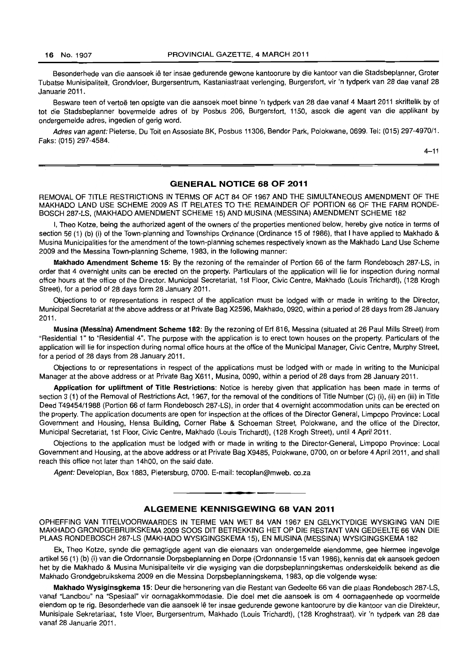Besonderhede van die aansoek lê ter insae gedurende gewone kantoorure by die kantoor van die Stadsbeplanner, Groter Tubatse Munisipaliteit, Grondvloer, Burgersentrum, Kastaniastraat verlenging, Burgersfort, vir 'n tydperk van 28 dae vanaf 28 Januarie 2011.

Besware teen of vertoë ten opsigte van die aansoek moet binne 'n tydperk van 28 dae vanaf 4 Maart 2011 skriftelik by of tot die Stadsbeplanner bovermelde adres of by Posbus 206, Burgersfort, 1150, asook die agent van die applikant by ondergemelde adres, ingedien of gerig word.

Adres van agent: Pieterse, Du Toit en Assosiate BK, Posbus 11306, Bendor Park, Polokwane, 0699. Tel: (015) 297-4970/1. Faks: (015) 297-4584.

 $4 - 11$ 

#### GENERAL NOTICE 68 **OF** 2011

REMOVAL OF TITLE RESTRICTIONS IN TERMS OF ACT 84 OF 1967 AND THE SIMULTANEOUS AMENDMENT OF THE MAKHADO LAND USE SCHEME 2009 AS IT RELATES TO THE REMAINDER OF PORTION 66 OF THE FARM RONDE-BOSCH 287-LS, (MAKHADO AMENDMENT SCHEME 15) AND MUSINA (MESSINA) AMENDMENT SCHEME 182

I, Theo Kotze, being the authorized agent of the owners of the properties mentioned below, hereby give notice in terms of section 56 (1) (b) (i) of the Town-planning and Townships Ordinance (Ordinance 15 of 1986), that I have applied to Makhado & Musina Municipalities for the amendment of the town-planning schemes respectively known as the Makhado Land Use Scheme 2009 and the Messina Town-planning Scheme, 1983, in the following manner:

Makhado Amendment Scheme 15: By the rezoning of the remainder of Portion 66 of the farm Rondebosch 287-LS, in order that 4 overnight units can be erected on the property. Particulars of the application will lie for inspection during normal office hours at the office of the Director. Municipal Secretariat, 1 st Floor, Civic Centre, Makhado {Louis Trichardt}, (128 Krogh Street), for a period of 28 days form 28 January 2011.

Objections to or representations in respect of the application must be lodged with or made in writing to the Director, Municipal Secretariat at the above address or at Private Bag X2596, Makhado, 0920, within a period of 28 days from 28 January 2011.

Musina (Messina) Amendment Scheme 182: By the rezoning of Erf 816, Messina (situated at 26 Paul Mills Street) from "Residential 1" to "Residential 4". The purpose with the application is to erect town houses on the property. Particulars of the application will lie for inspection during normal office hours at the office of the Municipal Manager, Civic Centre, Murphy Street, for a period of 28 days from 28 January 2011.

Objections to or representations in respect of the applications must be lodged with or made in writing to the Municipal Manager at the above address or at Private Bag X611, Musina, 0090, within a period of 28 days from 28 January 2011 .

Application for upliftment of Title Restrictions: Notice is hereby given that application has been made in terms of section 3 (1) of the Removal of Restrictions Act, 1967, for the removal of the conditions of Title Number (C) (i), (ii) en (iii) in Title Deed T49454/1988 (Portion 66 of farm Rondebosch 287-LS), in order that 4 overnight accommodation units can be erected on the property. The application documents are open for inspection at the offices of the Director General, Limpopo Province: Local Government and Housing, Hensa Building, Corner Rabe & Schoeman Street, Polokwane, and the office of the Director, Municipal Secretariat, 1st Floor, Civic Centre, Makhado (Louis Trichardt), (128 Krogh Street), until 4 April 2011.

Objections to the application must be lodged with or made in writing to the Director-General, Limpopo Province: Local Government and Housing, at the above address or at Private Bag X9485, Polokwane, 0700, on or before 4 April 2011, and shall reach this office not later than 14hOO, on the said date.

Agent: Developlan, Box 1883, Pietersburg, 0700. E-mail: tecoplan@mweb.co.za

## ALGEMENE KENNISGEWING 68 VAN 2011

**• •** 

OPHEFFING VAN TITELVOORWAARDES IN TERME VAN WET 84 VAN 1967 EN GELYKTYDIGE WYSIGING VAN DIE MAKHADO GRONDGEBRUIKSKEMA 2009 SOOS DIT BETREKKING HET OP DIE RESTANT VAN GEDEELTE 66 VAN DIE PLAAS RONDEBOSCH 287-LS (MAKHADO WYSIGINGSKEMA 15), EN MUSINA (MESSINA) WYSIGINGSKEMA 182

Ek, Theo Kotze, synde die gemagtigde agent van die eienaars van ondergemelde eiendomme, gee hiermee ingevolge artikel56 (1) (b) (i) van die Ordonnansie Dorpsbeplanning en Dorpe (Ordonnansie 15 van 1986), kennis dat ek aansoek gedoen het by die Makhado & Musina Munisipaliteite vir die wysiging van die dorpsbeplanningskemas onderskeidelik bekend as die Makhado Grondgebruikskema 2009 en die Messina Dorpsbeplanningskema, 1983, op die volgende wyse:

Makhado Wysiginsgkema 15: Deur die hersonering van die Restant van Gedeelte 66 van die plaas Rondebosch 287-LS, vanaf "Landbou" na "Spesiaal" vir oornagakkommodasie. Die doel met die aansoek is am 4 oornageenhede op voormelde eiendom op te rig. Besonderhede van die aansoek Ie ter insae gedurende gewone kantoorure by die kantoor van die Direkteur, Munisipale Sekretariaat, 1 ste Vloer, Burgersentrum, Makhado (Louis Trichardt), (128 Kroghstraat), vir 'n tydperk van 28 dae vanaf 28 Januarie 2011.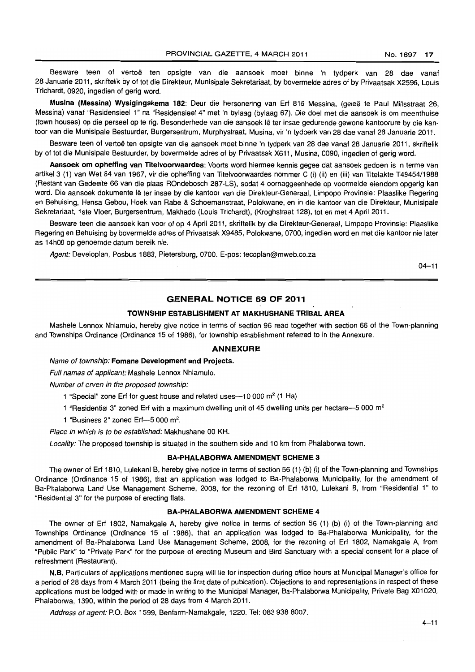Besware teen of vertoë ten opsigte van die aansoek moet binne 'n tydperk van 28 dae vanaf 28 Januarie 2011, skriftelik by of tot die Direkteur, Munisipale Sekretariaat, by bovermelde adres of by Privaatsak X2596, Louis Trichardt, 0920, ingedien of gerig word.

Musina (Messina) Wysigingskema 182: Deur die hersonering van Erf 816 Messina, (geleë te Paul Millsstraat 26, Messina) vanaf "Residensieel 1" na "Residensieel 4" met 'n bylaag (bylaag 67). Die doel met die aansoek is om meenthuise (town houses) op die perseel op te rig. Besonderhede van die aansoek Ie ter insae gedurende gewone kantoorure by die kantoor van die Munisipale Bestuurder, Burgersentrum, Murphystraat, Musina, vir 'n tydperk van 28 dae vanaf 28 Januarie 2011.

Besware teen of vertoë ten opsigte van die aansoek moet binne 'n tydperk van 28 dae vanaf 28 Januarie 2011, skriftelik by of tot die Munisipale Bestuurder, by bovermelde adres of by Privaatsak X611, Musina, 0090, ingedien of gerig word.

Aansoek om opheffing van Titelvoorwaardes: Voorts word hiermee kennis gegee dat aansoek gedoen is in terme van artikel3 (1) van Wet 84 van 1967, vir die opheffing van Titelvoorwaardes nom mer C (i) (ii) en (iii) van Titelakte T49454/1988 (Restant van Gedeelte 66 van die plaas ROndebosch 287 -LS), sodat 4 oornaggeenhede op voormelde eiendom opgerig kan word. Die aansoek dokumente lê ter insae by die kantoor van die Direkteur-Generaal, Limpopo Provinsie: Plaaslike Regering en Behuising, Hensa Gebou, Hoek van Rabe & Schoemanstraat, Polokwane, en in die kantoor van die Direkteur, Munisipale Sekretariaat, 1 ste Vloer, Burgersentrum, Makhado (Louis Trichardt), (Kroghstraat 128), tot en met 4 April 2011.

Besware teen die aansoek kan voor of op 4 April 2011, skriftelik by die Direkteur-Generaal, Limpopo Provinsie: Plaaslike Regering en Behuising by bovermelde adres of Privaatsak X9485, Polokwane, 0700, ingedien word en met die kantoor nie later as 14hOO op genoemde datum bereik nie.

Agent: Developlan, Posbus 1883, Pietersburg, 0700. E-pos: tecoplan@mweb.co.za

 $04 - 11$ 

# GENERAL NOTICE 69 OF 2011

#### TOWNSHIP ESTABLISHMENT AT MAKHUSHANE TRIBAL AREA

Mashele Lennox Nhlamulo, hereby give notice in terms of section 96 read together with section 66 of the Town-planning and Townships Ordinance (Ordinance 15 of 1986), for township establishment referred to in the Annexure.

#### ANNEXURE

#### Name of township; Fomane Development and Projects.

Full names of applicant: Mashele Lennox Nhlamulo.

Number of erven in the proposed township:

- 1 "Special" zone Erf for guest house and related uses-10 000 m<sup>2</sup> (1 Ha)
- 1 "Residential 3" zoned Erf with a maximum dwelling unit of 45 dwelling units per hectare--5 000  $m<sup>2</sup>$
- 1 "Business 2" zoned Erf- $-5000$  m<sup>2</sup>.

Place in which is to be established: Makhushane 00 KR.

Locality: The proposed township is situated in the southern side and 10 km from Phalaborwa town.

#### BA-PHALABORWA AMENDMENT SCHEME 3

The owner of Erf 1810, Lulekani B, hereby give notice in terms of section 56 (1) (b) (i) of the Town-planning and Townships Ordinance (Ordinance 15 of 1986), that an application was lodged to 8a-Phalaborwa Municipality, for the amendment of Ba-Phalaborwa Land Use Management Scheme, 2008, for the rezoning of Erf 1810, Lulekani B, from "Residential 1" to "Residential 3" for the purpose of erecting flats.

#### BA-PHALABORWA AMENDMENT SCHEME 4

The owner of Erf 1802, Namakgale A, hereby give notice in terms of section 56 (1) (b) (i) of the Town-planning and Townships Ordinance (Ordinance 15 of 1986), that an application was lodged to Ba-Phalaborwa Municipality, for the amendment of Ba-Phalaborwa Land Use Management Scheme, 2008, for the rezoning of Erf 1802, Namakgale A, from "Public Park" to "Private Park" for the purpose of erecting Museum and Bird Sanctuary with a special consent for a place of refreshment (Restaurant).

N.B. Particulars of applications mentioned supra will lie for inspection during office hours at Municipal Manager's office for a period of 28 days from 4 March 2011 (being the first date of publcation). Objections to and representations in respect of these applications must be lodged with or made in writing to the Municipal Manager, Ba-Phalaborwa Municipality, Private Bag X01020, Phalaborwa, 1390, within the period of 28 days from 4 March 2011.

Address of agent: P.O. Box 1599, Benfarm-Namakgale, 1220. Tel: 083 938 8007.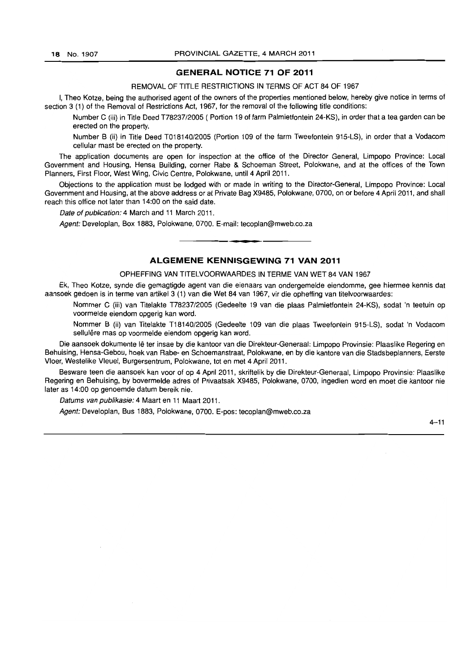### **GENERAL NOTICE 71 OF 2011**

REMOVAL OF TITLE RESTRICTIONS IN TERMS OF ACT 84 OF 1967

I, Theo Kotze, being the authorised agent of the owners of the properties mentioned below, hereby give notice in terms of section 3 (1) of the Removal of Restrictions Act, 1967, for the removal of the following title conditions:

Number C (iii) in Title Deed T78237/2005 ( Portion 19 of farm Palmietfontein 24-KS), in order that a tea garden can be erected on the property.

Number B (ii) in Title Deed T018140/2005 (Portion 109 of the farm Tweefontein 915-LS), in order that a Vodacom cellular mast be erected on the property.

The application documents are open for inspection at the office of the Director General, Limpopo Province: Local Government and Housing, Hensa Building, corner Rabe & Schoeman Street, Polokwane, and at the offices of the Town Planners, First Floor, West Wing, Civic Centre, Polokwane, until 4 April 2011.

Objections to the application must be lodged with or made in writing to the Director-General, Limpopo Province: Local Government and Housing, at the above address or at Private Bag X9485, Polokwane, 0700, on or before 4 April 2011, and shall reach this office not later than 14:00 on the said date.

Date of publication: 4 March and 11 March 2011.

Agent: Developlan, Box 1883, Polokwane, 0700. E-mail: tecoplan@mweb.co.za . **-.** 

# **ALGEMENE KENNISGEWING 71 VAN 2011**

OPHEFFING VAN TITELVOORWAARDES IN TERME VAN WET 84 VAN 1967

Ek, Theo Kotze, synde die gemagtigde agent van die eienaars van ondergemelde eiendomme, gee hiermee kennis dat aansoek gedoen is in terme van artikel3 (1) van die Wet 84 van 1967, vir die opheffing van titelvoorwaardes:

Nommer C (iii) van Titelakte T78237/2005 (Gedeelte 19 van die plaas Palmietfontein 24-KS), sodat 'n teetuin op voormelde eiendom opgerig kan word.

Nommer B (ii) van Titelakte T18140/2005 (Gedeelte 109 van die plaas Tweefontein 915-LS), sodat 'n Vodacom sellulêre mas op voormelde eiendom opgerig kan word.

Die aansoek dokumente Ie ter insae by die kantoor van die Direkteur-Generaal: Limpopo Provinsie: Plaaslike Regering en Behuising, Hensa-Gebou, hoek van Rabe- en Schoemanstraat, Polokwane, en by die kantore van die Stadsbeplanners, Eerste Vloer, Westelike Vleuel, Burgersentrum, Polokwane, tot en met 4 April 2011.

Besware teen die aansoek kan voor of op 4 April 2011, skriftelik by die Direkteur-Generaal, Limpopo Provinsie: Plaaslike Regering en Behuising, by bovermelde adres of Privaatsak X9485, Polokwane, 0700, ingedien word en moet die kantoor nie later as 14:00 op genoemde datum bereik nie.

Datums van publikasie: 4 Maart en 11 Maart 2011.

Agent: Developlan, Bus 1883, Polokwane, 0700. E-pos: tecoplan@mweb.co.za

 $4 - 11$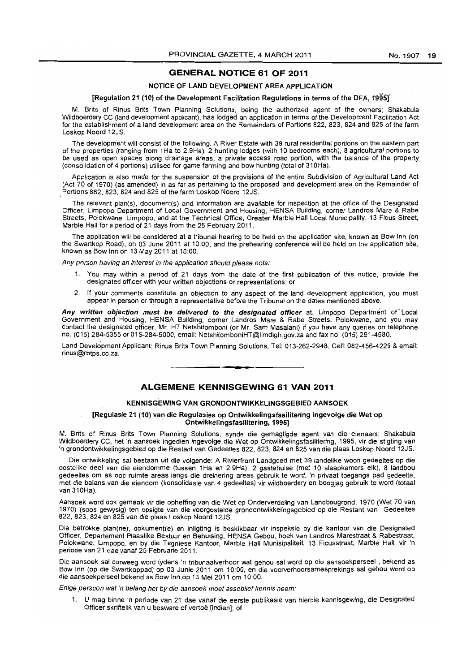#### GENERAL NOTICE 61 OF 2011

#### NOTICE OF LAND DEVELOPMENT AREA APPLICATION

#### [Regulation 21 (10) of the Development Facilitation Regulations in terms of the DFA, 1995]

M. Brits of Rinus Brits Town Planning Solutions, being the authorized agent of the owners; Shakabula Wildboerdery CC (land development applicant), has lodged an application in terms of the Development Facilitation Act for the establishment of a land development area on the Remainders of Portions 822, 823, 824 and 825 of the farm Loskop Noord 12JS.

The development will consist of the following: A River Estate with 39 rural residential portions on the eastern part of the properties (ranging from 1Ha to 2,9Ha), 2 hunting lodges (with 10 bedrooms each), 8 agricultural portions to be used as open spaces along drainage areas, a private access road portion, with the balance of the property (consolidation of 4 portions) utilised for game farming and bow hunting (total of 310Ha).

Application is also made for the suspension of the provisions of the entire Subdivision of Agricultural Land Act (Act 70 of 1970) (as amended) in as far as pertaining to the proposed land development area on the Remainder of Portions 882, 823, 824 and 825 of the farm Loskop Noord 12JS.

The relevant plan(s), document(s) and information are available for inspection at the office of the DeSignated Officer, Limpopo Department of Local Government and Housing, HENSA Building, corner Landros Mare & Rabe Streets, Polokwane, Limpopo, and at the Technical Office, Greater Marble Hall Local Municipality, 13 Ficus Street, Marble Hall for a period of 21 days from the 25 February 2011.

The application will be considered at a tribunal hearing to be held on the application site, known as Bow Inn (on the Swartkop Road), on 03 June 2011 at 10:00, and the prehearing conference will be held on the application site, known as Bow Inn on 13 May 2011 at 10:00.

Any person having an interest in the application should please note:

- 1. You may within a period of 21 days from the date of the first publication of this notice, provide the designated officer with your written objections or representations; or
- 2. If your comments constitute an objection to any aspect of the land development application, you must appear in person or through a representative before the Tribunal on the dates mentioned above.

Any written objection must be delivered to the designated officer at, Limpopo Department of Local Government and Housing, HENSA Building, corner Landros Mare & Rabe Streets, Polokwane, and you may contact the designated officer, Mr. HT Netshitomboni (or Mr. Sam Masalani) if you have any queries on telephone no. (015) 284-5355 or 015-284-5000, email: NetshitomboniHT@limdlgh.gov.za and fax no. (015) 291-4580.

Land Development Applicant: Rinus Brits Town Planning Solutions, Tel: 013-262-2948, Cell: 082-456-4229 & email: rinus@rbtps.co.za.

**• •** 

#### ALGEMENE KENNISGEWING 61 VAN 2011

#### KENNISGEWING VAN GRONDONTWIKKELINGSGEBIED AANSOEK

#### [Regulasie 21 (10) van die Regulasies op Ontwikkelingsfasilitering ingevolgedie Wet op Ontwikkelingsfasilitering, 1995]

M. Brits of Rinus Brits Town Planning Solutions, synde die gemagtigde agent van die eienaars; Shakabula Wildboerdery CC, het 'n aansoek ingedien ingevolge die Wet op Ontwikkelingsfasilitering, 1995, vir die stigting van 'n grondontwikkelingsgebied op die Restant van Gedeeltes 822, 823, 824 en 825 van die plaas Loskop Noord 12JS.

Die ontwikkeling sal bestaan uit die volgende: A Rivierfront Landgoed met 39 landelike woon gedeeltes op die oostelike deel van die eiendomme (tussen 1 Ha en 2.9Ha), 2 gastehuise (met 10 slaapkamers elk), 8 landbou gedeeltes om as oop ruimte areas langs die dreinering areas gebruik te word, 'n privaat toegangs pad gedeelte, met die balans van die eiendom (konsolidasie van 4 gedeeltes) vir wildboerdery en boogjag gebruik te word (totaal van 310Ha).

Aansoek word ook gemaak vir die opheffing van die Wet op Onderverdeling van Landbougrond, 1970 (Wet 70 van 1970) (soos gewysig) ten opsigte van die voorgestelde grondontwikkelingsgebied op die Restant van Gedeeltes 822,823,824 en 825 van die plaas Loskop Noord 12JS.

Die betrokke plan(ne}, dokument(e} en inligting is beskikbaar vir inspeksie by die kantoor van die DeSignated Officer, Departement Plaaslike.Bestuur en Behuising, HENSA Gebou, hoek van Landros Marestraat & Rabestraat, Polokwane, Limpopo, en by die Tegniese Kantoor, Marble Hall Munisipaliteit, 13 Ficusstraat, Marble Hall, vir 'n periode van 21 dae vanaf 25 Februarie 2011.

Die aansoek sal oorweeg word tydens 'n tribunaalverhoor wat gehou sal word op die aansoekperseel , bekend as Bow Inn (op die Swartkoppad) op 03 Junie 2011 om 10:00, en die voorverhoorsamesprekings sal gehou word op die aansoekperseel bekend as Bow Inn,op 13 Mei 2011 om 10:00.

Enige persoon wat 'n belang het by die aansoek moet asseblief kennis neem:

1. U mag binne 'n periode van 21 dae vanaf die eerste publikasie van hierdie kennisgewing. die DeSignated Officer skriftelik van u besware of vertoë [indien]; of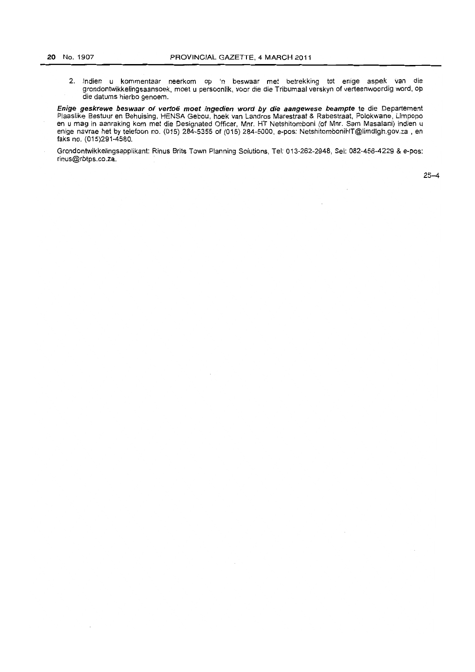2. Indien u kommentaar neerkom op 'n beswaar met betrekking tot enige aspek van die grondontwikkelingsaansoek, moet u persoenlik, veor die die Tribumaal verskyn of verteenwoordig word, op die datums hierbo genoem.

**Enige geskrewe beswaar of vertoe moet ingedien word by die aangewese beampte** te die Departement Plaaslike Bestuur en Behuising, HENSA Gebou', hoek van Landros Marestraat & Rabestraat, Polokwane, Limpopo en u mag in aanraking korn met die Designated Officer, Mnr. HT Netshitomboni (of Mnr. Sam Masalani) indien u enige navrae het by telefoon no. (015) 284-5355 of (015) 284-5000, e-pos: NetshitomboniHT@limdlgh.gov.za , en faks no. (015)291-4580.

Grondontwikkelingsapplikant: Rinus Brits Town Planning Solutions, Tel: 013-262-2948, Sel: 082-456-4229 & e-pos: rinus@rbtps.co.za.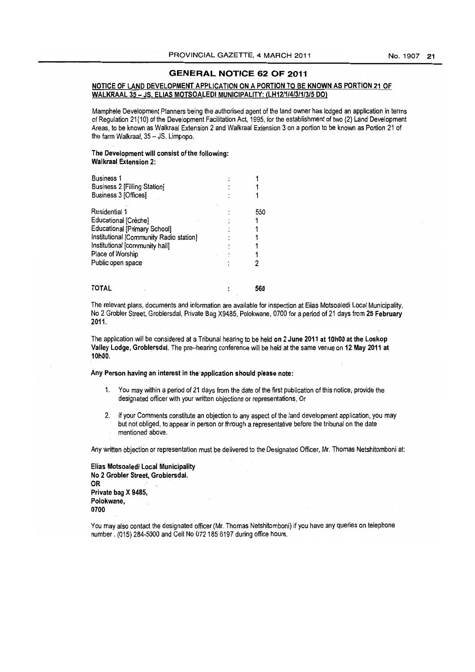#### **GENERAL NOTICE 62 OF 2011**

#### NOTICE OF LAND DEVELOPMENT APPLICATION ON A PORTION TO BE KNOWN AS PORTION 21 OF WALKRAAL 35 - JS. ELIAS MOTSOAlEDI MUNICIPALITY: (LH12/1/4/3/1/3/5 DO)

Mamphele Development Planners being the authorised agent of the land owner has lodged an application in terms of Regulation 21 (10) of the Development Facilitation Act. 1995. for the establishment of two (2) Land Development Areas. to be known as Walkraal Extension 2 and Wa/kraal Extension 3 on a portion to be known as Portion 21 of the farm Walkraal, 35 - JS, Limpopo.

#### The Development will consist of the following: Walkraal Extension 2:

| <b>Business 1</b><br>Business 2 [Filling Station]<br>Business 3 [Offices]                                                                                                                          |     |
|----------------------------------------------------------------------------------------------------------------------------------------------------------------------------------------------------|-----|
| Residential 1<br>Educational [Crèche]<br><b>Educational [Primary School]</b><br>Institutional [Community Radio station]<br>Institutional [community hall]<br>Place of Worship<br>Public open space | 550 |

The relevant plans, documents and information are available for inspection at Elias Motsoaledi Local Municipality. No 2 Grabler Street, Groblersdal, Private Bag X9485, Polokwane, 0700 for a period of 21 days from 25 February 2011.

560

The application will be considered at a Tribunal hearing to be held on 2 June 2011 at 10h00 at the Loskop Valley Lodge, Groblersdal. The pre-hearing conference will be held at the same venue on 12 May 2011 at 10hOO.

Any Person having an interest in the "application should please note:

- 1. You may within a period of 21 days from the date of the first publication of this notice, provide the designated officer with your written objections or representations, Or
- 2. If your Comments constitute an objection to any aspect of the land development application, you may but not obliged. to appear in person or through a representative before the tribunal on the date mentioned above.

Any written objection or representation must be delivered to the Designated Officer, Mr. Thomas Netshitomboni at:

Elias Motsoaledi Local Municipality No 2 Grobler Street, Groblersdal. OR Private bag X 9485, Polokwane, 0700

TOTAL

You may also contact the designated officer (Mr. Thomas Netshitomboni) if you have any queries on telephone number. (015) 284-5000 and Cell No 072185 6197 during office hours.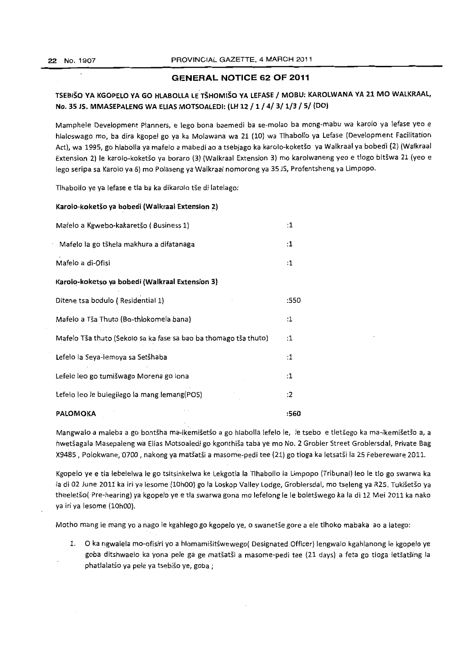# **GENERAL NOTICE 62 OF 2011**

# TSEBISO VA KGOPELO VA GO HLABOLLA LE"TSHOMISO VA LEFASE / MOBU: KAROLWANA VA 21 **MO** WALKRAAL, No. 35 J5. MMASEPALENG WA ELIAS MOTSOALEDI: (lH 12/1/4/3/1/3/5/ (DO)

Mamphele Development Planners, e lego bona baemedi ba se-molao ba mong-mabu wa karolo ya lefase yeo e hlaloswago mo, ba dira kgopel go ya ka Molawana wa 21 (10) wa Tlhabollo ya Lefase (Development Facilitation Act), wa 1995, go hlabolla ya mafelo a mabedi ao a tsebjago ka karolo-koketso ya Walkraal ya bobedi (2) (Walkraal Extension 2) le karolo-koketšo ya boraro (3) (Walkraal Extension 3) mo karolwaneng yeo e tlogo bitšwa 21 (yeo e lego seripa sa Karolo ya 6) mo Polaseng ya Walkraal nomorong ya 35 *lS,* Profentsheng ya Limpopo.

Tlhabollo ye ya lefase e tla ba ka dikarolo tše di latelago:

#### Karolo-koketšo ya bobedi (Walkraal Extension 2)

| Mafelo a Kgwebo-kakaretšo (Business 1)                           |      |  |  |  |
|------------------------------------------------------------------|------|--|--|--|
| Mafelo la go tšhela makhura a difatanaga                         | :1   |  |  |  |
| Mafelo a di-Ofisi                                                |      |  |  |  |
| Karolo-koketso ya bobedi (Walkraal Extension 3)                  |      |  |  |  |
| Ditene tsa bodulo (Residential 1)                                | :550 |  |  |  |
| Mafelo a Tša Thuto (Bo-thlokomela bana)                          | :1   |  |  |  |
| Mafelo Tša thuto (Sekolo sa ka fase sa bao ba thomago tša thuto) |      |  |  |  |
| Lefelo la Seya-lemoya sa Setšhaba                                | :1   |  |  |  |
| Lefelo leo go tumišwago Morena go lona                           | :1   |  |  |  |
| Lefelo leo le bulegilego la mang lemang(POS)                     | :2   |  |  |  |
| <b>PALOMOKA</b>                                                  |      |  |  |  |

Mangwalo a maleba a go bontšha ma-ikemišetšo a go hlabolla lefelo le, le tsebo e tletšego ka ma-ikemišetšo a, a hwetšagala Masepaleng wa Elias Motsoaledi go kgonthiša taba ye mo No. 2 Grobler Street Groblersdal, Private Bag X9485, Polokwane, 0700, nakong ya matšatši a masome-pedi tee (21) go tloga ka letsatši la 25 Febereware 2011.

Kgopelo ye e tla lebelelwa Ie go tsitsinkelwa ke Lekgotla la Tlhabollo la Limpopo (Tribunal) leo Ie tlo go swarwa ka la di 02 June 2011 ka iri yalesome (10hOO) go la Loskop Valley lodge, Groblersdal, ma tseleng ya R25. Tukisetso ya theeletšo( Pre-hearing) ya kgopelo ye e tla swarwa gona mo lefelong le le boletšwego ka la di 12 Mei 2011 ka nako ya iri ya lesome (10h00).

Motho mang le mang yo a nago le kgahlego go kgopelo ye, o swanetše gore a ele tlhoko mabaka ao a latego:

1. 0 ka ngwalela mo-ofisiri yo a hlomamisitswewego( Designated Officer) lengwalo kgahlanong Ie kgopelo ye goba ditshwaelo ka yona pele ga ge matšatši a masome-pedi tee (21 days) a feta go tloga letšatšing la phatlalatšo ya pele ya tsebišo ye, goba;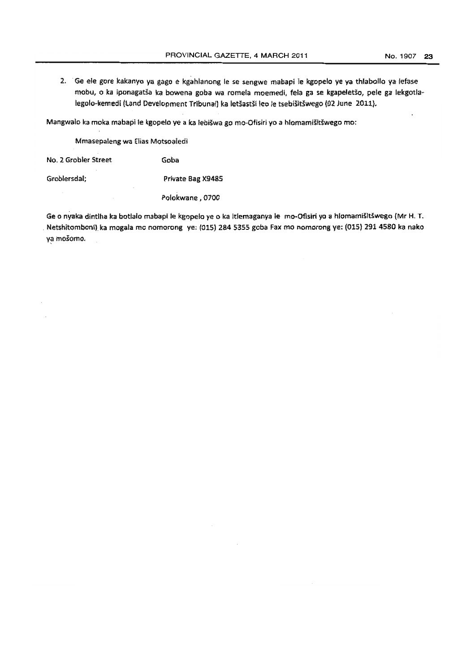2. Ge ele gore kakanyo ya gago e kgahlanong Ie se sengwe mabapi Ie kgopelo ye ya thlabollo ya lefase mobu, o ka iponagatša ka bowena goba wa romela moemedi, fela ga se kgapeletšo, pele ga lekgotlalegolo-kemedi (Land Development Tribuna!) ka letšastši leo le tsebišitšwego (02 June 2011).

Mangwało ka moka mabapi le kgopelo ye a ka lebišwa go mo-Ofisiri yo a hlomamišitšwego mo:

Mmasepaleng wa Elias Motsoaledi

No.2 Grobler Street Goba

Groblersdal; Private Bag X9485

Polokwane , 0700

Ge o nyaka dintlha ka botlalo mabapi le kgopelo ye o ka itlemaganya le mo-Ofisiri yo a hlomamišitšwego {Mr H. T. . Netshitomboni) ka mogala mo nomorong ye: (015) 284 5355 goba Fax mo nomorong ye: (015) 291 4580 ka nako ya mošomo.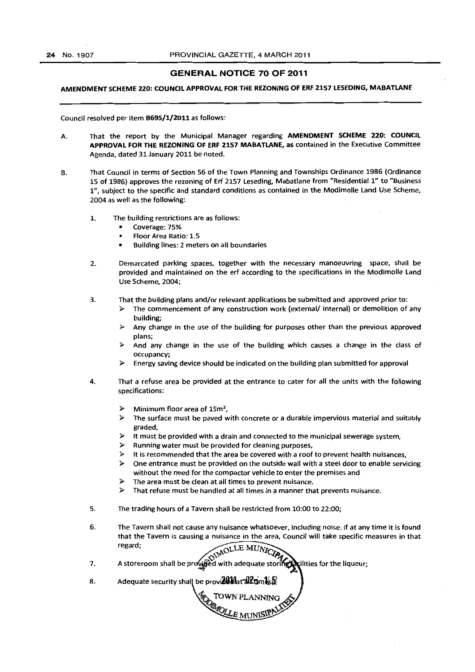#### GENERAL NOTICE 70 OF 2011

### AMENDMENT SCHEME 220: COUNCIL APPROVAL FOR THE REZONING OF ERF 2157 LESEDING, MABATLANE

Council resolved per Item B695/1/2011 as follows:

- A. That the report by the Municipal Manager regarding AMENDMENT SCHEME 220: COUNCIL APPROVAL FOR THE REZONING OF ERF 2157 MABATLANE, as contained in the Executive Committee Agenda, dated 31 January 2011 be noted.
- B. That Council in terms of Section 56 of the Town Planning and Townships Ordinance 1986 (Ordinance 15 of 1986) approves the rezoning of Erf 2157 Leseding, Mabatlane from "Residential *1"* to "Business 1", subject to the specific and standard conditions as contained in the Modimolle Land Use Scheme, 2004 as well as the following:
	- 1. The building restrictions are as follows:
		- Coverage: 75%
		- Floor Area Ratio: 1.5
		- Building lines: 2 meters on all boundaries
	- 2. Demarcated parking spaces, together with the necessary manoeuvring space, shall be provided and maintained on the erf according to the specifications in the Modimolle land Use Scheme, 2004;
	- 3. That the building plans and/or relevant applications be submitted and approved prior to:
		- $\triangleright$  The commencement of any construction work (external/ internal) or demolition of any building;
		- $\triangleright$  Any change in the use of the building for purposes other than the previous approved plans;
		- And any change in the use of the building which causes a change in the class of occupancy;
		- $\triangleright$  Energy saving device should be indicated on the building plan submitted for approval
	- 4. That a refuse area be provided at the entrance to cater for all the units with the following specifications:
		- $\triangleright$  Minimum floor area of 15m<sup>2</sup>,
		- $\triangleright$  The surface must be paved with concrete or a durable impervious material and suitably graded,
		- $\triangleright$  It must be provided with a drain and connected to the municipal sewerage system,
		- $\triangleright$  Running water must be provided for cleaning purposes,
		- $\triangleright$  It is recommended that the area be covered with a roof to prevent health nuisances,
		- $\triangleright$  One entrance must be provided on the outside wall with a steel door to enable servicing without the need for the compactor vehicle to enter the premises and
		- $\triangleright$  The area must be clean at all times to prevent nuisance.
		- $\triangleright$  That refuse must be handled at all times in a manner that prevents nuisance.
	- 5. The trading hours of a Tavern shall be restricted from 10:00 to 22:00;
	- 6. The Tavern shall not cause any nuisance whatsoever, including noise. If at any time it is found that the Tavern is causing a nuisance in the area, Council will take specific measures in that

**POWNPLANNING** 

WELE MUNISIPP

- 7. regard;<br>A storeroom shall be provided with adequate storing prilities for the liqueur;
- 8. Adequate security shall be provi $20$ inar $32$